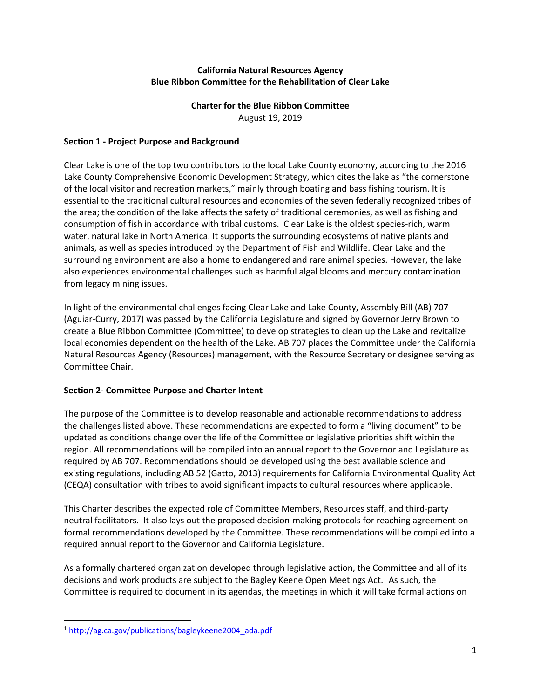## **California Natural Resources Agency Blue Ribbon Committee for the Rehabilitation of Clear Lake**

# **Charter for the Blue Ribbon Committee**

August 19, 2019

### **Section 1 - Project Purpose and Background**

Clear Lake is one of the top two contributors to the local Lake County economy, according to the 2016 Lake County Comprehensive Economic Development Strategy, which cites the lake as "the cornerstone of the local visitor and recreation markets," mainly through boating and bass fishing tourism. It is essential to the traditional cultural resources and economies of the seven federally recognized tribes of the area; the condition of the lake affects the safety of traditional ceremonies, as well as fishing and consumption of fish in accordance with tribal customs. Clear Lake is the oldest species-rich, warm water, natural lake in North America. It supports the surrounding ecosystems of native plants and animals, as well as species introduced by the Department of Fish and Wildlife. Clear Lake and the surrounding environment are also a home to endangered and rare animal species. However, the lake also experiences environmental challenges such as harmful algal blooms and mercury contamination from legacy mining issues.

In light of the environmental challenges facing Clear Lake and Lake County, Assembly Bill (AB) 707 (Aguiar-Curry, 2017) was passed by the California Legislature and signed by Governor Jerry Brown to create a Blue Ribbon Committee (Committee) to develop strategies to clean up the Lake and revitalize local economies dependent on the health of the Lake. AB 707 places the Committee under the California Natural Resources Agency (Resources) management, with the Resource Secretary or designee serving as Committee Chair.

# **Section 2- Committee Purpose and Charter Intent**

The purpose of the Committee is to develop reasonable and actionable recommendations to address the challenges listed above. These recommendations are expected to form a "living document" to be updated as conditions change over the life of the Committee or legislative priorities shift within the region. All recommendations will be compiled into an annual report to the Governor and Legislature as required by AB 707. Recommendations should be developed using the best available science and existing regulations, including AB 52 (Gatto, 2013) requirements for California Environmental Quality Act (CEQA) consultation with tribes to avoid significant impacts to cultural resources where applicable.

This Charter describes the expected role of Committee Members, Resources staff, and third-party neutral facilitators. It also lays out the proposed decision-making protocols for reaching agreement on formal recommendations developed by the Committee. These recommendations will be compiled into a required annual report to the Governor and California Legislature.

As a formally chartered organization developed through legislative action, the Committee and all of its decisions and work products are subject to the Bagley Keene Open Meetings Act.<sup>1</sup> As such, the Committee is required to document in its agendas, the meetings in which it will take formal actions on

<sup>1</sup> http://ag.ca.gov/publications/bagleykeene2004\_ada.pdf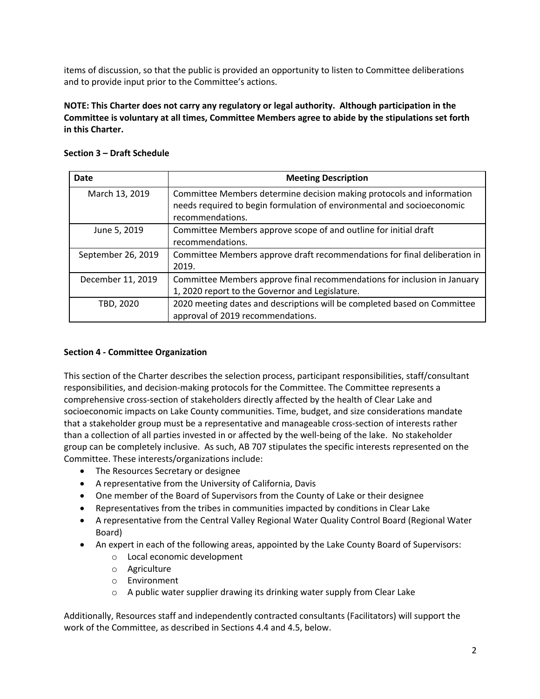items of discussion, so that the public is provided an opportunity to listen to Committee deliberations and to provide input prior to the Committee's actions.

**NOTE: This Charter does not carry any regulatory or legal authority. Although participation in the Committee is voluntary at all times, Committee Members agree to abide by the stipulations set forth in this Charter.**

| Date               | <b>Meeting Description</b>                                                                                                                                          |
|--------------------|---------------------------------------------------------------------------------------------------------------------------------------------------------------------|
| March 13, 2019     | Committee Members determine decision making protocols and information<br>needs required to begin formulation of environmental and socioeconomic<br>recommendations. |
| June 5, 2019       | Committee Members approve scope of and outline for initial draft<br>recommendations.                                                                                |
| September 26, 2019 | Committee Members approve draft recommendations for final deliberation in<br>2019.                                                                                  |
| December 11, 2019  | Committee Members approve final recommendations for inclusion in January<br>1, 2020 report to the Governor and Legislature.                                         |
| TBD, 2020          | 2020 meeting dates and descriptions will be completed based on Committee<br>approval of 2019 recommendations.                                                       |

#### **Section 3 – Draft Schedule**

#### **Section 4 - Committee Organization**

This section of the Charter describes the selection process, participant responsibilities, staff/consultant responsibilities, and decision-making protocols for the Committee. The Committee represents a comprehensive cross-section of stakeholders directly affected by the health of Clear Lake and socioeconomic impacts on Lake County communities. Time, budget, and size considerations mandate that a stakeholder group must be a representative and manageable cross-section of interests rather than a collection of all parties invested in or affected by the well-being of the lake. No stakeholder group can be completely inclusive. As such, AB 707 stipulates the specific interests represented on the Committee. These interests/organizations include:

- The Resources Secretary or designee
- A representative from the University of California, Davis
- One member of the Board of Supervisors from the County of Lake or their designee
- Representatives from the tribes in communities impacted by conditions in Clear Lake
- A representative from the Central Valley Regional Water Quality Control Board (Regional Water Board)
- An expert in each of the following areas, appointed by the Lake County Board of Supervisors:
	- o Local economic development
	- o Agriculture
	- o Environment
	- o A public water supplier drawing its drinking water supply from Clear Lake

Additionally, Resources staff and independently contracted consultants (Facilitators) will support the work of the Committee, as described in Sections 4.4 and 4.5, below.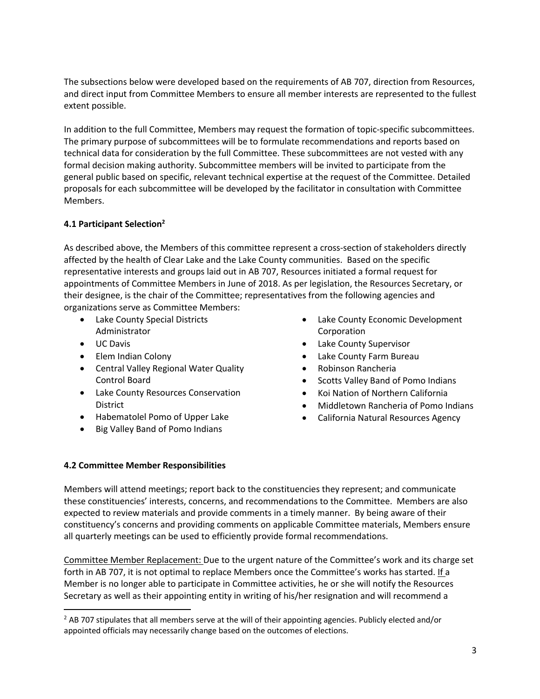The subsections below were developed based on the requirements of AB 707, direction from Resources, and direct input from Committee Members to ensure all member interests are represented to the fullest extent possible.

In addition to the full Committee, Members may request the formation of topic-specific subcommittees. The primary purpose of subcommittees will be to formulate recommendations and reports based on technical data for consideration by the full Committee. These subcommittees are not vested with any formal decision making authority. Subcommittee members will be invited to participate from the general public based on specific, relevant technical expertise at the request of the Committee. Detailed proposals for each subcommittee will be developed by the facilitator in consultation with Committee Members.

## **4.1 Participant Selection2**

As described above, the Members of this committee represent a cross-section of stakeholders directly affected by the health of Clear Lake and the Lake County communities. Based on the specific representative interests and groups laid out in AB 707, Resources initiated a formal request for appointments of Committee Members in June of 2018. As per legislation, the Resources Secretary, or their designee, is the chair of the Committee; representatives from the following agencies and organizations serve as Committee Members:

- Lake County Special Districts Administrator
- UC Davis
- Elem Indian Colony
- Central Valley Regional Water Quality Control Board
- Lake County Resources Conservation District
- Habematolel Pomo of Upper Lake
- Big Valley Band of Pomo Indians
- Lake County Economic Development Corporation
- Lake County Supervisor
- Lake County Farm Bureau
- Robinson Rancheria
- Scotts Valley Band of Pomo Indians
- Koi Nation of Northern California
- Middletown Rancheria of Pomo Indians
- California Natural Resources Agency

#### **4.2 Committee Member Responsibilities**

Members will attend meetings; report back to the constituencies they represent; and communicate these constituencies' interests, concerns, and recommendations to the Committee. Members are also expected to review materials and provide comments in a timely manner. By being aware of their constituency's concerns and providing comments on applicable Committee materials, Members ensure all quarterly meetings can be used to efficiently provide formal recommendations.

Committee Member Replacement: Due to the urgent nature of the Committee's work and its charge set forth in AB 707, it is not optimal to replace Members once the Committee's works has started. If a Member is no longer able to participate in Committee activities, he or she will notify the Resources Secretary as well as their appointing entity in writing of his/her resignation and will recommend a

 $<sup>2</sup>$  AB 707 stipulates that all members serve at the will of their appointing agencies. Publicly elected and/or</sup> appointed officials may necessarily change based on the outcomes of elections.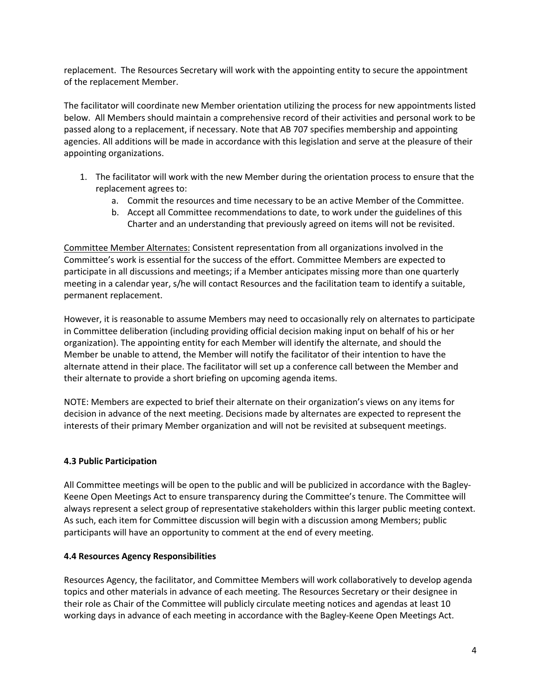replacement. The Resources Secretary will work with the appointing entity to secure the appointment of the replacement Member.

The facilitator will coordinate new Member orientation utilizing the process for new appointments listed below. All Members should maintain a comprehensive record of their activities and personal work to be passed along to a replacement, if necessary. Note that AB 707 specifies membership and appointing agencies. All additions will be made in accordance with this legislation and serve at the pleasure of their appointing organizations.

- 1. The facilitator will work with the new Member during the orientation process to ensure that the replacement agrees to:
	- a. Commit the resources and time necessary to be an active Member of the Committee.
	- b. Accept all Committee recommendations to date, to work under the guidelines of this Charter and an understanding that previously agreed on items will not be revisited.

Committee Member Alternates: Consistent representation from all organizations involved in the Committee's work is essential for the success of the effort. Committee Members are expected to participate in all discussions and meetings; if a Member anticipates missing more than one quarterly meeting in a calendar year, s/he will contact Resources and the facilitation team to identify a suitable, permanent replacement.

However, it is reasonable to assume Members may need to occasionally rely on alternates to participate in Committee deliberation (including providing official decision making input on behalf of his or her organization). The appointing entity for each Member will identify the alternate, and should the Member be unable to attend, the Member will notify the facilitator of their intention to have the alternate attend in their place. The facilitator will set up a conference call between the Member and their alternate to provide a short briefing on upcoming agenda items.

NOTE: Members are expected to brief their alternate on their organization's views on any items for decision in advance of the next meeting. Decisions made by alternates are expected to represent the interests of their primary Member organization and will not be revisited at subsequent meetings.

#### **4.3 Public Participation**

All Committee meetings will be open to the public and will be publicized in accordance with the Bagley-Keene Open Meetings Act to ensure transparency during the Committee's tenure. The Committee will always represent a select group of representative stakeholders within this larger public meeting context. As such, each item for Committee discussion will begin with a discussion among Members; public participants will have an opportunity to comment at the end of every meeting.

#### **4.4 Resources Agency Responsibilities**

Resources Agency, the facilitator, and Committee Members will work collaboratively to develop agenda topics and other materials in advance of each meeting. The Resources Secretary or their designee in their role as Chair of the Committee will publicly circulate meeting notices and agendas at least 10 working days in advance of each meeting in accordance with the Bagley-Keene Open Meetings Act.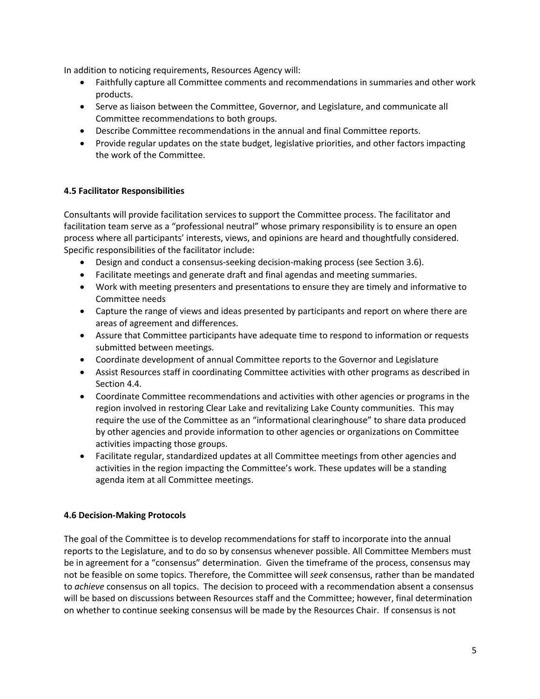In addition to noticing requirements, Resources Agency will:

- Faithfully capture all Committee comments and recommendations in summaries and other work products.
- Serve as liaison between the Committee, Governor, and Legislature, and communicate all Committee recommendations to both groups.
- Describe Committee recommendations in the annual and final Committee reports.
- Provide regular updates on the state budget, legislative priorities, and other factors impacting the work of the Committee.

# **4.5 Facilitator Responsibilities**

Consultants will provide facilitation services to support the Committee process. The facilitator and facilitation team serve as a "professional neutral" whose primary responsibility is to ensure an open process where all participants' interests, views, and opinions are heard and thoughtfully considered. Specific responsibilities of the facilitator include:

- Design and conduct a consensus-seeking decision-making process (see Section 3.6).
- Facilitate meetings and generate draft and final agendas and meeting summaries.
- Work with meeting presenters and presentations to ensure they are timely and informative to Committee needs
- Capture the range of views and ideas presented by participants and report on where there are areas of agreement and differences.
- Assure that Committee participants have adequate time to respond to information or requests submitted between meetings.
- Coordinate development of annual Committee reports to the Governor and Legislature
- Assist Resources staff in coordinating Committee activities with other programs as described in Section 4.4.
- Coordinate Committee recommendations and activities with other agencies or programs in the region involved in restoring Clear Lake and revitalizing Lake County communities. This may require the use of the Committee as an "informational clearinghouse" to share data produced by other agencies and provide information to other agencies or organizations on Committee activities impacting those groups.
- Facilitate regular, standardized updates at all Committee meetings from other agencies and activities in the region impacting the Committee's work. These updates will be a standing agenda item at all Committee meetings.

#### **4.6 Decision-Making Protocols**

The goal of the Committee is to develop recommendations for staff to incorporate into the annual reports to the Legislature, and to do so by consensus whenever possible. All Committee Members must be in agreement for a "consensus" determination. Given the timeframe of the process, consensus may not be feasible on some topics. Therefore, the Committee will *seek* consensus, rather than be mandated to *achieve* consensus on all topics. The decision to proceed with a recommendation absent a consensus will be based on discussions between Resources staff and the Committee; however, final determination on whether to continue seeking consensus will be made by the Resources Chair. If consensus is not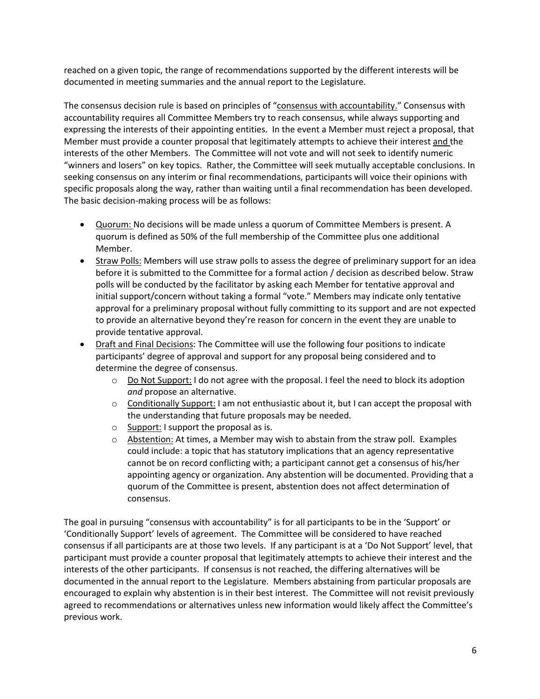reached on a given topic, the range of recommendations supported by the different interests will be documented in meeting summaries and the annual report to the Legislature.

The consensus decision rule is based on principles of "consensus with accountability." Consensus with accountability requires all Committee Members try to reach consensus, while always supporting and expressing the interests of their appointing entities. In the event a Member must reject a proposal, that Member must provide a counter proposal that legitimately attempts to achieve their interest and the interests of the other Members. The Committee will not vote and will not seek to identify numeric "winners and losers" on key topics. Rather, the Committee will seek mutually acceptable conclusions. In seeking consensus on any interim or final recommendations, participants will voice their opinions with specific proposals along the way, rather than waiting until a final recommendation has been developed. The basic decision-making process will be as follows:

- Quorum: No decisions will be made unless a quorum of Committee Members is present. A quorum is defined as 50% of the full membership of the Committee plus one additional Member.
- Straw Polls: Members will use straw polls to assess the degree of preliminary support for an idea before it is submitted to the Committee for a formal action / decision as described below. Straw polls will be conducted by the facilitator by asking each Member for tentative approval and initial support/concern without taking a formal "vote." Members may indicate only tentative approval for a preliminary proposal without fully committing to its support and are not expected to provide an alternative beyond they're reason for concern in the event they are unable to provide tentative approval.
- Draft and Final Decisions: The Committee will use the following four positions to indicate participants' degree of approval and support for any proposal being considered and to determine the degree of consensus.
	- $\circ$  Do Not Support: I do not agree with the proposal. I feel the need to block its adoption *and* propose an alternative.
	- $\circ$  Conditionally Support: I am not enthusiastic about it, but I can accept the proposal with the understanding that future proposals may be needed.
	- o Support: I support the proposal as is.
	- $\circ$  Abstention: At times, a Member may wish to abstain from the straw poll. Examples could include: a topic that has statutory implications that an agency representative cannot be on record conflicting with; a participant cannot get a consensus of his/her appointing agency or organization. Any abstention will be documented. Providing that a quorum of the Committee is present, abstention does not affect determination of consensus.

The goal in pursuing "consensus with accountability" is for all participants to be in the 'Support' or 'Conditionally Support' levels of agreement. The Committee will be considered to have reached consensus if all participants are at those two levels. If any participant is at a 'Do Not Support' level, that participant must provide a counter proposal that legitimately attempts to achieve their interest and the interests of the other participants. If consensus is not reached, the differing alternatives will be documented in the annual report to the Legislature. Members abstaining from particular proposals are encouraged to explain why abstention is in their best interest. The Committee will not revisit previously agreed to recommendations or alternatives unless new information would likely affect the Committee's previous work.